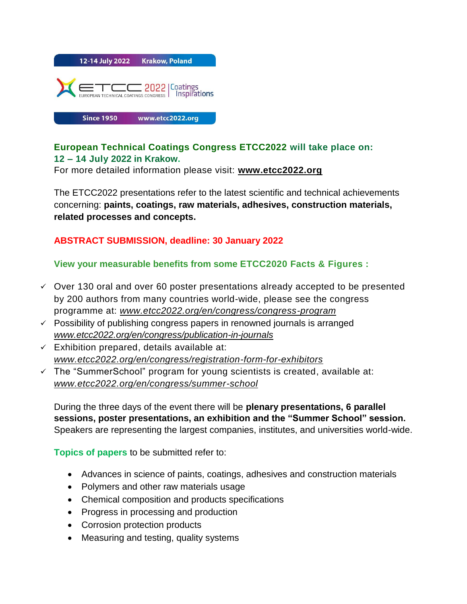

## **European Technical Coatings Congress ETCC2022 will take place on: 12 – 14 July 2022 in Krakow.**

For more detailed information please visit: **[www.etcc2022.org](http://www.etcc2022.org/)**

The ETCC2022 presentations refer to the latest scientific and technical achievements concerning: **paints, coatings, raw materials, adhesives, construction materials, related processes and concepts.**

## **ABSTRACT SUBMISSION, deadline: 30 January 2022**

## **View your measurable benefits from some ETCC2020 Facts & Figures :**

- $\checkmark$  Over 130 oral and over 60 poster presentations already accepted to be presented by 200 authors from many countries world-wide, please see the congress programme at: *[www.etcc2022.org/en/congress/congress-program](http://www.etcc2022.org/en/congress/congress-program%20%20%20%20))*
- $\checkmark$  Possibility of publishing congress papers in renowned journals is arranged *[www.etcc2022.org/en/congress/publication-in-journals](http://www.etcc2022.org/en/congress/publication-in-journals)*
- $\checkmark$  Exhibition prepared, details available at: *[www.etcc2022.org/en/congress/registration-form-for-exhibitors](http://www.etcc2022.org/en/congress/registration-form-for-exhibitors)*
- $\checkmark$  The "SummerSchool" program for young scientists is created, available at: *[www.etcc2022.org/en/congress/summer-school](http://www.etcc2022.org/en/congress/summer-school)*

During the three days of the event there will be **plenary presentations, 6 parallel sessions, poster presentations, an exhibition and the "Summer School" session.** Speakers are representing the largest companies, institutes, and universities world-wide.

**Topics of papers** to be submitted refer to:

- Advances in science of paints, coatings, adhesives and construction materials
- Polymers and other raw materials usage
- Chemical composition and products specifications
- Progress in processing and production
- Corrosion protection products
- Measuring and testing, quality systems